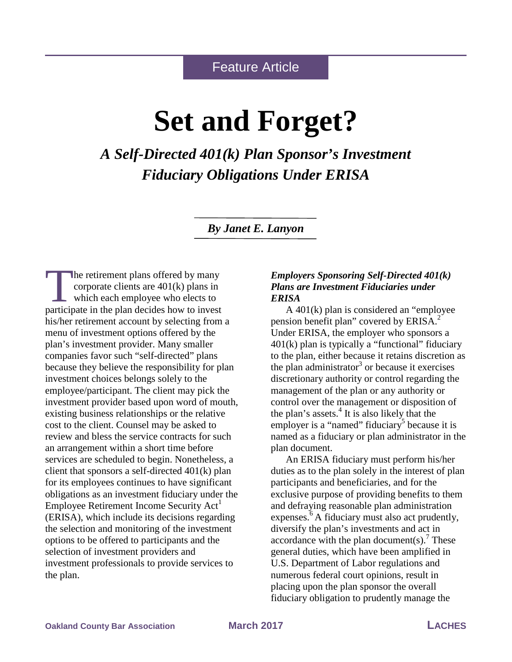## Feature Article

# **Set and Forget?**

*A Self-Directed 401(k) Plan Sponsor's Investment Fiduciary Obligations Under ERISA*

*By Janet E. Lanyon*

he retirement plans offered by many corporate clients are 401(k) plans in which each employee who elects to The retirement plans offered by many<br>corporate clients are 401(k) plans in<br>which each employee who elects to<br>participate in the plan decides how to invest his/her retirement account by selecting from a menu of investment options offered by the plan's investment provider. Many smaller companies favor such "self-directed" plans because they believe the responsibility for plan investment choices belongs solely to the employee/participant. The client may pick the investment provider based upon word of mouth, existing business relationships or the relative cost to the client. Counsel may be asked to review and bless the service contracts for such an arrangement within a short time before services are scheduled to begin. Nonetheless, a client that sponsors a self-directed 401(k) plan for its employees continues to have significant obligations as an investment fiduciary under the Employee Retirement Income Security Act<sup>1</sup> (ERISA), which include its decisions regarding the selection and monitoring of the investment options to be offered to participants and the selection of investment providers and investment professionals to provide services to the plan.

### *Employers Sponsoring Self-Directed 401(k) Plans are Investment Fiduciaries under ERISA*

A 401(k) plan is considered an "employee pension benefit plan" covered by  $ERISA.<sup>2</sup>$ Under ERISA, the employer who sponsors a 401(k) plan is typically a "functional" fiduciary to the plan, either because it retains discretion as the plan administrator<sup>3</sup> or because it exercises discretionary authority or control regarding the management of the plan or any authority or control over the management or disposition of the plan's assets. $4$  It is also likely that the employer is a "named" fiduciary<sup>5</sup> because it is named as a fiduciary or plan administrator in the plan document.

An ERISA fiduciary must perform his/her duties as to the plan solely in the interest of plan participants and beneficiaries, and for the exclusive purpose of providing benefits to them and defraying reasonable plan administration expenses.<sup>6</sup> A fiduciary must also act prudently, diversify the plan's investments and act in accordance with the plan document(s).<sup>7</sup> These general duties, which have been amplified in U.S. Department of Labor regulations and numerous federal court opinions, result in placing upon the plan sponsor the overall fiduciary obligation to prudently manage the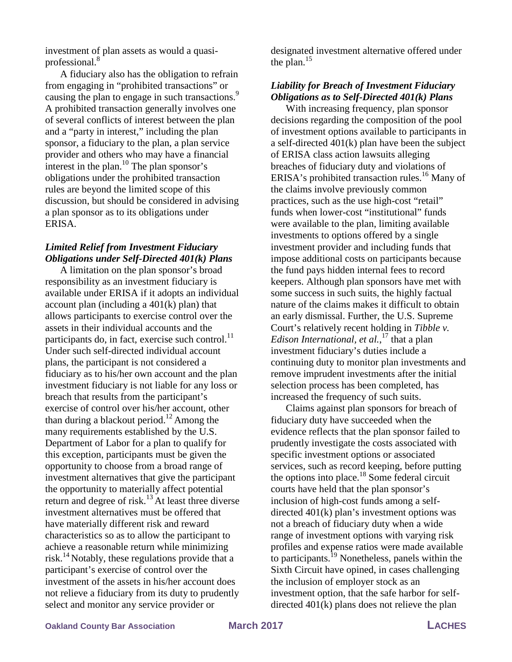investment of plan assets as would a quasiprofessional. $8$ 

A fiduciary also has the obligation to refrain from engaging in "prohibited transactions" or causing the plan to engage in such transactions.<sup>9</sup> A prohibited transaction generally involves one of several conflicts of interest between the plan and a "party in interest," including the plan sponsor, a fiduciary to the plan, a plan service provider and others who may have a financial interest in the plan.<sup>10</sup> The plan sponsor's obligations under the prohibited transaction rules are beyond the limited scope of this discussion, but should be considered in advising a plan sponsor as to its obligations under ERISA.

#### *Limited Relief from Investment Fiduciary Obligations under Self-Directed 401(k) Plans*

A limitation on the plan sponsor's broad responsibility as an investment fiduciary is available under ERISA if it adopts an individual account plan (including a  $401(k)$  plan) that allows participants to exercise control over the assets in their individual accounts and the participants do, in fact, exercise such control. $^{11}$ Under such self-directed individual account plans, the participant is not considered a fiduciary as to his/her own account and the plan investment fiduciary is not liable for any loss or breach that results from the participant's exercise of control over his/her account, other than during a blackout period.<sup>12</sup> Among the many requirements established by the U.S. Department of Labor for a plan to qualify for this exception, participants must be given the opportunity to choose from a broad range of investment alternatives that give the participant the opportunity to materially affect potential return and degree of risk.<sup>13</sup> At least three diverse investment alternatives must be offered that have materially different risk and reward characteristics so as to allow the participant to achieve a reasonable return while minimizing risk.<sup>14</sup> Notably, these regulations provide that a participant's exercise of control over the investment of the assets in his/her account does not relieve a fiduciary from its duty to prudently select and monitor any service provider or

designated investment alternative offered under the plan. $^{15}$ 

## *Liability for Breach of Investment Fiduciary Obligations as to Self-Directed 401(k) Plans*

With increasing frequency, plan sponsor decisions regarding the composition of the pool of investment options available to participants in a self-directed 401(k) plan have been the subject of ERISA class action lawsuits alleging breaches of fiduciary duty and violations of ERISA's prohibited transaction rules.<sup>16</sup> Many of the claims involve previously common practices, such as the use high-cost "retail" funds when lower-cost "institutional" funds were available to the plan, limiting available investments to options offered by a single investment provider and including funds that impose additional costs on participants because the fund pays hidden internal fees to record keepers. Although plan sponsors have met with some success in such suits, the highly factual nature of the claims makes it difficult to obtain an early dismissal. Further, the U.S. Supreme Court's relatively recent holding in *Tibble v. Edison International, et al.*, <sup>17</sup> that a plan investment fiduciary's duties include a continuing duty to monitor plan investments and remove imprudent investments after the initial selection process has been completed, has increased the frequency of such suits.

Claims against plan sponsors for breach of fiduciary duty have succeeded when the evidence reflects that the plan sponsor failed to prudently investigate the costs associated with specific investment options or associated services, such as record keeping, before putting the options into place. $18$  Some federal circuit courts have held that the plan sponsor's inclusion of high-cost funds among a selfdirected 401(k) plan's investment options was not a breach of fiduciary duty when a wide range of investment options with varying risk profiles and expense ratios were made available to participants.<sup>19</sup> Nonetheless, panels within the Sixth Circuit have opined, in cases challenging the inclusion of employer stock as an investment option, that the safe harbor for selfdirected 401(k) plans does not relieve the plan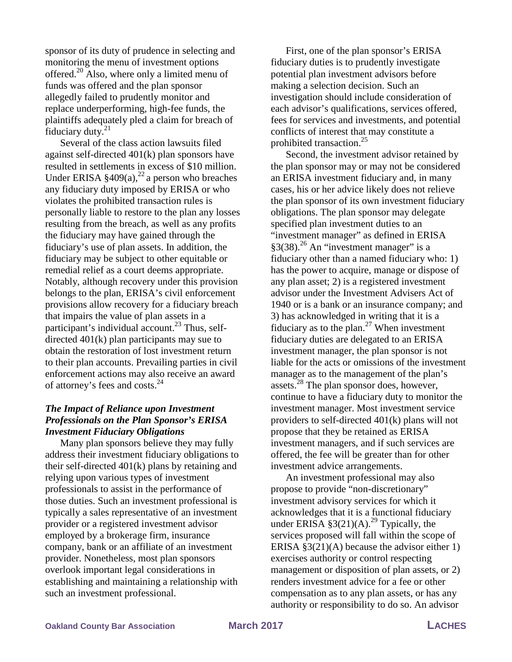sponsor of its duty of prudence in selecting and monitoring the menu of investment options offered.20 Also, where only a limited menu of funds was offered and the plan sponsor allegedly failed to prudently monitor and replace underperforming, high-fee funds, the plaintiffs adequately pled a claim for breach of fiduciary duty. $21$ 

Several of the class action lawsuits filed against self-directed 401(k) plan sponsors have resulted in settlements in excess of \$10 million. Under ERISA  $\S 409(a),^{22}$  a person who breaches any fiduciary duty imposed by ERISA or who violates the prohibited transaction rules is personally liable to restore to the plan any losses resulting from the breach, as well as any profits the fiduciary may have gained through the fiduciary's use of plan assets. In addition, the fiduciary may be subject to other equitable or remedial relief as a court deems appropriate. Notably, although recovery under this provision belongs to the plan, ERISA's civil enforcement provisions allow recovery for a fiduciary breach that impairs the value of plan assets in a participant's individual account.<sup>23</sup> Thus, selfdirected 401(k) plan participants may sue to obtain the restoration of lost investment return to their plan accounts. Prevailing parties in civil enforcement actions may also receive an award of attorney's fees and costs.<sup>24</sup>

## *The Impact of Reliance upon Investment Professionals on the Plan Sponsor's ERISA Investment Fiduciary Obligations*

Many plan sponsors believe they may fully address their investment fiduciary obligations to their self-directed 401(k) plans by retaining and relying upon various types of investment professionals to assist in the performance of those duties. Such an investment professional is typically a sales representative of an investment provider or a registered investment advisor employed by a brokerage firm, insurance company, bank or an affiliate of an investment provider. Nonetheless, most plan sponsors overlook important legal considerations in establishing and maintaining a relationship with such an investment professional.

First, one of the plan sponsor's ERISA fiduciary duties is to prudently investigate potential plan investment advisors before making a selection decision. Such an investigation should include consideration of each advisor's qualifications, services offered, fees for services and investments, and potential conflicts of interest that may constitute a prohibited transaction.<sup>25</sup>

Second, the investment advisor retained by the plan sponsor may or may not be considered an ERISA investment fiduciary and, in many cases, his or her advice likely does not relieve the plan sponsor of its own investment fiduciary obligations. The plan sponsor may delegate specified plan investment duties to an "investment manager" as defined in ERISA  $§3(38).^{26}$  An "investment manager" is a fiduciary other than a named fiduciary who: 1) has the power to acquire, manage or dispose of any plan asset; 2) is a registered investment advisor under the Investment Advisers Act of 1940 or is a bank or an insurance company; and 3) has acknowledged in writing that it is a fiduciary as to the plan.<sup>27</sup> When investment fiduciary duties are delegated to an ERISA investment manager, the plan sponsor is not liable for the acts or omissions of the investment manager as to the management of the plan's assets. $^{28}$  The plan sponsor does, however, continue to have a fiduciary duty to monitor the investment manager. Most investment service providers to self-directed 401(k) plans will not propose that they be retained as ERISA investment managers, and if such services are offered, the fee will be greater than for other investment advice arrangements.

An investment professional may also propose to provide "non-discretionary" investment advisory services for which it acknowledges that it is a functional fiduciary under ERISA §3(21)(A).<sup>29</sup> Typically, the services proposed will fall within the scope of ERISA  $\S3(21)(A)$  because the advisor either 1) exercises authority or control respecting management or disposition of plan assets, or 2) renders investment advice for a fee or other compensation as to any plan assets, or has any authority or responsibility to do so. An advisor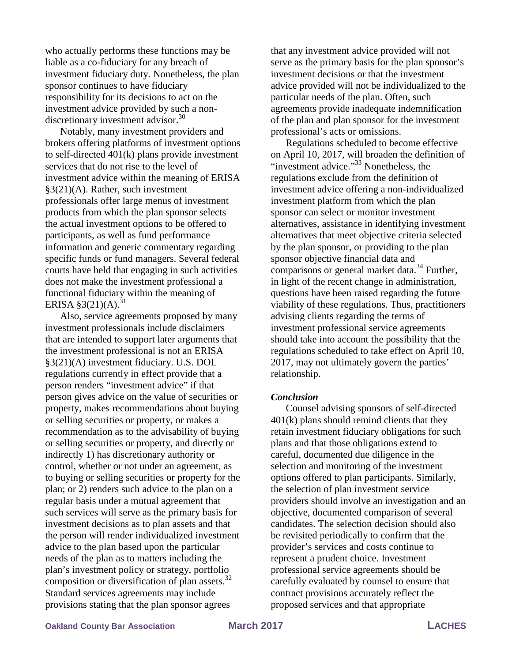who actually performs these functions may be liable as a co-fiduciary for any breach of investment fiduciary duty. Nonetheless, the plan sponsor continues to have fiduciary responsibility for its decisions to act on the investment advice provided by such a nondiscretionary investment advisor.<sup>30</sup>

Notably, many investment providers and brokers offering platforms of investment options to self-directed 401(k) plans provide investment services that do not rise to the level of investment advice within the meaning of ERISA §3(21)(A). Rather, such investment professionals offer large menus of investment products from which the plan sponsor selects the actual investment options to be offered to participants, as well as fund performance information and generic commentary regarding specific funds or fund managers. Several federal courts have held that engaging in such activities does not make the investment professional a functional fiduciary within the meaning of ERISA  $\S3(21)(A).^{31}$ 

Also, service agreements proposed by many investment professionals include disclaimers that are intended to support later arguments that the investment professional is not an ERISA §3(21)(A) investment fiduciary. U.S. DOL regulations currently in effect provide that a person renders "investment advice" if that person gives advice on the value of securities or property, makes recommendations about buying or selling securities or property, or makes a recommendation as to the advisability of buying or selling securities or property, and directly or indirectly 1) has discretionary authority or control, whether or not under an agreement, as to buying or selling securities or property for the plan; or 2) renders such advice to the plan on a regular basis under a mutual agreement that such services will serve as the primary basis for investment decisions as to plan assets and that the person will render individualized investment advice to the plan based upon the particular needs of the plan as to matters including the plan's investment policy or strategy, portfolio composition or diversification of plan assets. $32$ Standard services agreements may include provisions stating that the plan sponsor agrees

that any investment advice provided will not serve as the primary basis for the plan sponsor's investment decisions or that the investment advice provided will not be individualized to the particular needs of the plan. Often, such agreements provide inadequate indemnification of the plan and plan sponsor for the investment professional's acts or omissions.

Regulations scheduled to become effective on April 10, 2017, will broaden the definition of "investment advice." $33$  Nonetheless, the regulations exclude from the definition of investment advice offering a non-individualized investment platform from which the plan sponsor can select or monitor investment alternatives, assistance in identifying investment alternatives that meet objective criteria selected by the plan sponsor, or providing to the plan sponsor objective financial data and comparisons or general market data. $34$  Further, in light of the recent change in administration, questions have been raised regarding the future viability of these regulations. Thus, practitioners advising clients regarding the terms of investment professional service agreements should take into account the possibility that the regulations scheduled to take effect on April 10, 2017, may not ultimately govern the parties' relationship.

#### *Conclusion*

Counsel advising sponsors of self-directed 401(k) plans should remind clients that they retain investment fiduciary obligations for such plans and that those obligations extend to careful, documented due diligence in the selection and monitoring of the investment options offered to plan participants. Similarly, the selection of plan investment service providers should involve an investigation and an objective, documented comparison of several candidates. The selection decision should also be revisited periodically to confirm that the provider's services and costs continue to represent a prudent choice. Investment professional service agreements should be carefully evaluated by counsel to ensure that contract provisions accurately reflect the proposed services and that appropriate